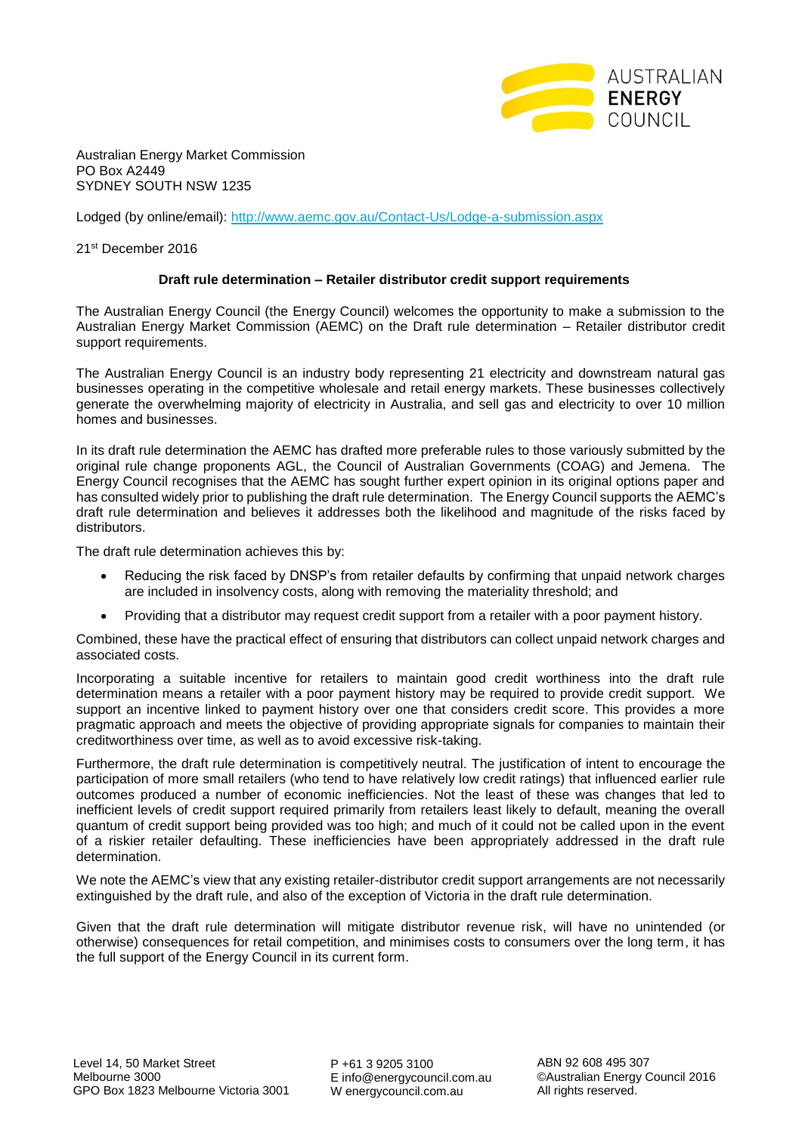

Australian Energy Market Commission PO Box A2449 SYDNEY SOUTH NSW 1235

Lodged (by online/email):<http://www.aemc.gov.au/Contact-Us/Lodge-a-submission.aspx>

21st December 2016

## **Draft rule determination – Retailer distributor credit support requirements**

The Australian Energy Council (the Energy Council) welcomes the opportunity to make a submission to the Australian Energy Market Commission (AEMC) on the Draft rule determination – Retailer distributor credit support requirements.

The Australian Energy Council is an industry body representing 21 electricity and downstream natural gas businesses operating in the competitive wholesale and retail energy markets. These businesses collectively generate the overwhelming majority of electricity in Australia, and sell gas and electricity to over 10 million homes and businesses.

In its draft rule determination the AEMC has drafted more preferable rules to those variously submitted by the original rule change proponents AGL, the Council of Australian Governments (COAG) and Jemena. The Energy Council recognises that the AEMC has sought further expert opinion in its original options paper and has consulted widely prior to publishing the draft rule determination. The Energy Council supports the AEMC's draft rule determination and believes it addresses both the likelihood and magnitude of the risks faced by distributors.

The draft rule determination achieves this by:

- Reducing the risk faced by DNSP's from retailer defaults by confirming that unpaid network charges are included in insolvency costs, along with removing the materiality threshold; and
- Providing that a distributor may request credit support from a retailer with a poor payment history.

Combined, these have the practical effect of ensuring that distributors can collect unpaid network charges and associated costs.

Incorporating a suitable incentive for retailers to maintain good credit worthiness into the draft rule determination means a retailer with a poor payment history may be required to provide credit support. We support an incentive linked to payment history over one that considers credit score. This provides a more pragmatic approach and meets the objective of providing appropriate signals for companies to maintain their creditworthiness over time, as well as to avoid excessive risk-taking.

Furthermore, the draft rule determination is competitively neutral. The justification of intent to encourage the participation of more small retailers (who tend to have relatively low credit ratings) that influenced earlier rule outcomes produced a number of economic inefficiencies. Not the least of these was changes that led to inefficient levels of credit support required primarily from retailers least likely to default, meaning the overall quantum of credit support being provided was too high; and much of it could not be called upon in the event of a riskier retailer defaulting. These inefficiencies have been appropriately addressed in the draft rule determination.

We note the AEMC's view that any existing retailer-distributor credit support arrangements are not necessarily extinguished by the draft rule, and also of the exception of Victoria in the draft rule determination.

Given that the draft rule determination will mitigate distributor revenue risk, will have no unintended (or otherwise) consequences for retail competition, and minimises costs to consumers over the long term, it has the full support of the Energy Council in its current form.

P +61 3 9205 3100 E info@energycouncil.com.au W energycouncil.com.au